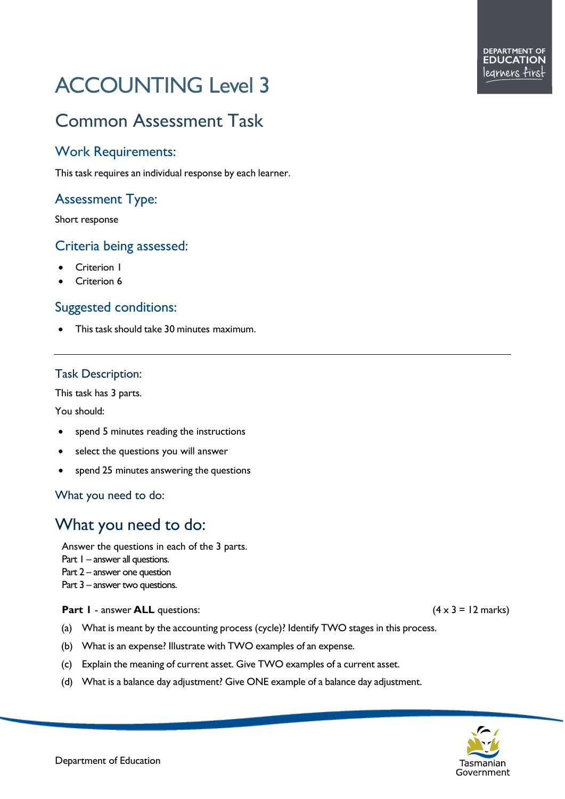# ACCOUNTING Level 3

## Common Assessment Task

## Work Requirements:

This task requires an individual response by each learner.

## Assessment Type:

Short response

## Criteria being assessed:

- Criterion 1
- Criterion 6

## Suggested conditions:

• This task should take 30 minutes maximum.

## Task Description:

This task has 3 parts.

You should:

- spend 5 minutes reading the instructions
- select the questions you will answer
- spend 25 minutes answering the questions

What you need to do:

## What you need to do:

Answer the questions in each of the 3 parts.

Part I – answer all questions.

Part 2 – answer one question

Part 3 – answer two questions.

## **Part 1** - answer **ALL** questions: (4 x 3 = 12 marks)

- (a) What is meant by the accounting process (cycle)? Identify TWO stages in this process.
- (b) What is an expense? Illustrate with TWO examples of an expense.
- (c) Explain the meaning of current asset. Give TWO examples of a current asset.
- (d) What is a balance day adjustment? Give ONE example of a balance day adjustment.